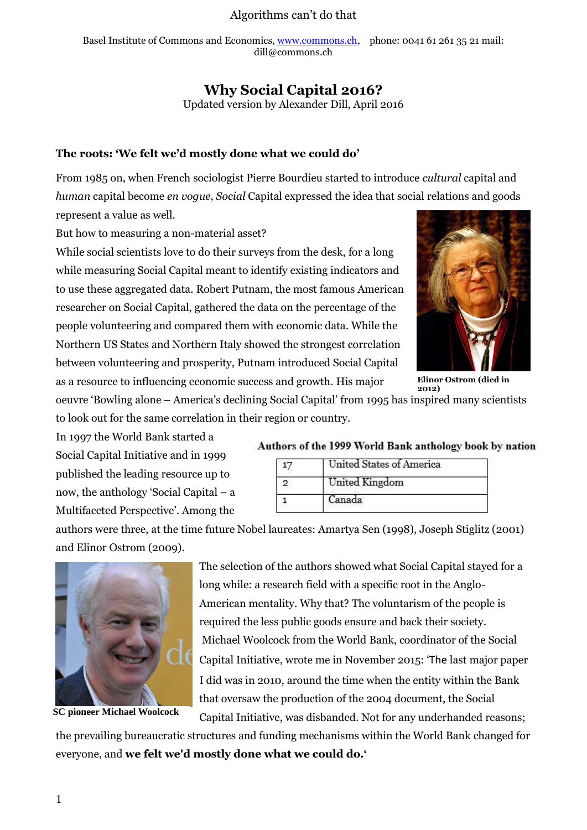Basel Institute of Commons and Economics[, www.commons.ch,](http://www.commons.ch/) phone: 0041 61 261 35 21 mail: dill@commons.ch

## **Why Social Capital 2016?**

Updated version by Alexander Dill, April 2016

#### **The roots: 'We felt we'd mostly done what we could do'**

From 1985 on, when French sociologist Pierre Bourdieu started to introduce *cultural* capital and *human* capital become *en vogue*, *Social* Capital expressed the idea that social relations and goods represent a value as well.

But how to measuring a non-material asset?

While social scientists love to do their surveys from the desk, for a long while measuring Social Capital meant to identify existing indicators and to use these aggregated data. Robert Putnam, the most famous American researcher on Social Capital, gathered the data on the percentage of the people volunteering and compared them with economic data. While the Northern US States and Northern Italy showed the strongest correlation between volunteering and prosperity, Putnam introduced Social Capital as a resource to influencing economic success and growth. His major



**Elinor Ostrom (died in 2012)**

oeuvre 'Bowling alone – America's declining Social Capital' from 1995 has inspired many scientists to look out for the same correlation in their region or country.

In 1997 the World Bank started a Social Capital Initiative and in 1999 published the leading resource up to now, the anthology 'Social Capital – a Multifaceted Perspective'. Among the

#### Authors of the 1999 World Bank anthology book by nation

| United States of America |  |
|--------------------------|--|
| United Kingdom           |  |
| Canada                   |  |
|                          |  |

authors were three, at the time future Nobel laureates: Amartya Sen (1998), Joseph Stiglitz (2001) and Elinor Ostrom (2009).



**SC pioneer Michael Woolcock**

The selection of the authors showed what Social Capital stayed for a long while: a research field with a specific root in the Anglo-American mentality. Why that? The voluntarism of the people is required the less public goods ensure and back their society. Michael Woolcock from the World Bank, coordinator of the Social Capital Initiative, wrote me in November 2015: 'The last major paper I did was in 2010, around the time when the entity within the Bank that oversaw the production of the 2004 document, the Social Capital Initiative, was disbanded. Not for any underhanded reasons;

the prevailing bureaucratic structures and funding mechanisms within the World Bank changed for everyone, and **we felt we'd mostly done what we could do.'**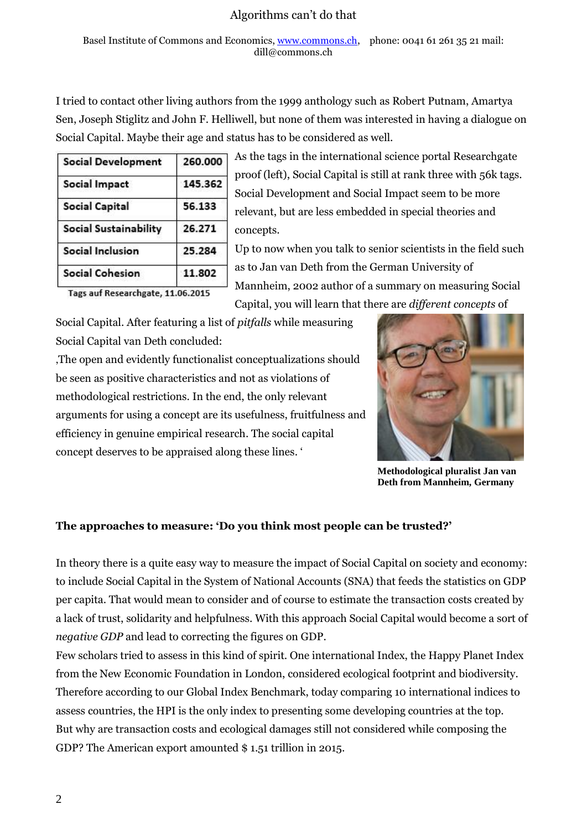I tried to contact other living authors from the 1999 anthology such as Robert Putnam, Amartya Sen, Joseph Stiglitz and John F. Helliwell, but none of them was interested in having a dialogue on Social Capital. Maybe their age and status has to be considered as well.

| <b>Social Development</b> | 260.000 |  |
|---------------------------|---------|--|
| <b>Social Impact</b>      | 145.362 |  |
| <b>Social Capital</b>     | 56.133  |  |
| Social Sustainability     | 26.271  |  |
| <b>Social Inclusion</b>   | 25.284  |  |
| <b>Social Cohesion</b>    | 11.802  |  |

As the tags in the international science portal Researchgate proof (left), Social Capital is still at rank three with 56k tags. Social Development and Social Impact seem to be more relevant, but are less embedded in special theories and concepts.

Up to now when you talk to senior scientists in the field such as to Jan van Deth from the German University of Mannheim, 2002 author of a summary on measuring Social Capital, you will learn that there are *different concepts* of

Tags auf Researchgate, 11.06.2015

Social Capital. After featuring a list of *pitfalls* while measuring Social Capital van Deth concluded:

'The open and evidently functionalist conceptualizations should be seen as positive characteristics and not as violations of methodological restrictions. In the end, the only relevant arguments for using a concept are its usefulness, fruitfulness and efficiency in genuine empirical research. The social capital concept deserves to be appraised along these lines. '



**Methodological pluralist Jan van Deth from Mannheim, Germany**

## **The approaches to measure: 'Do you think most people can be trusted?'**

In theory there is a quite easy way to measure the impact of Social Capital on society and economy: to include Social Capital in the System of National Accounts (SNA) that feeds the statistics on GDP per capita. That would mean to consider and of course to estimate the transaction costs created by a lack of trust, solidarity and helpfulness. With this approach Social Capital would become a sort of *negative GDP* and lead to correcting the figures on GDP.

Few scholars tried to assess in this kind of spirit. One international Index, the Happy Planet Index from the New Economic Foundation in London, considered ecological footprint and biodiversity. Therefore according to our Global Index Benchmark, today comparing 10 international indices to assess countries, the HPI is the only index to presenting some developing countries at the top. But why are transaction costs and ecological damages still not considered while composing the GDP? The American export amounted \$ 1.51 trillion in 2015.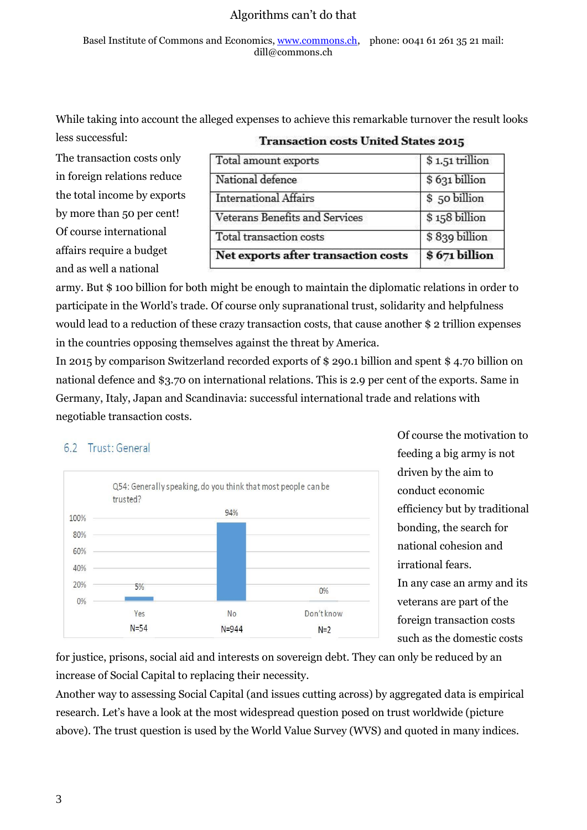Basel Institute of Commons and Economics[, www.commons.ch,](http://www.commons.ch/) phone: 0041 61 261 35 21 mail: dill@commons.ch

While taking into account the alleged expenses to achieve this remarkable turnover the result looks less successful:

The transaction costs only in foreign relations reduce the total income by exports by more than 50 per cent! Of course international affairs require a budget and as well a national

| Transaction costs United States 2015 |  |  |
|--------------------------------------|--|--|
| \$1.51 trillion                      |  |  |
| \$631 billion                        |  |  |
| \$50 billion                         |  |  |
| \$158 billion                        |  |  |
| \$839 billion                        |  |  |
| \$671 billion                        |  |  |
|                                      |  |  |

## Transpotion gosts United States 2015

army. But \$ 100 billion for both might be enough to maintain the diplomatic relations in order to participate in the World's trade. Of course only supranational trust, solidarity and helpfulness would lead to a reduction of these crazy transaction costs, that cause another \$ 2 trillion expenses in the countries opposing themselves against the threat by America.

In 2015 by comparison Switzerland recorded exports of \$ 290.1 billion and spent \$ 4.70 billion on national defence and \$3.70 on international relations. This is 2.9 per cent of the exports. Same in Germany, Italy, Japan and Scandinavia: successful international trade and relations with negotiable transaction costs.

## 6.2 Trust: General



Of course the motivation to feeding a big army is not driven by the aim to conduct economic efficiency but by traditional bonding, the search for national cohesion and irrational fears. In any case an army and its veterans are part of the foreign transaction costs such as the domestic costs

for justice, prisons, social aid and interests on sovereign debt. They can only be reduced by an increase of Social Capital to replacing their necessity.

Another way to assessing Social Capital (and issues cutting across) by aggregated data is empirical research. Let's have a look at the most widespread question posed on trust worldwide (picture above). The trust question is used by the World Value Survey (WVS) and quoted in many indices.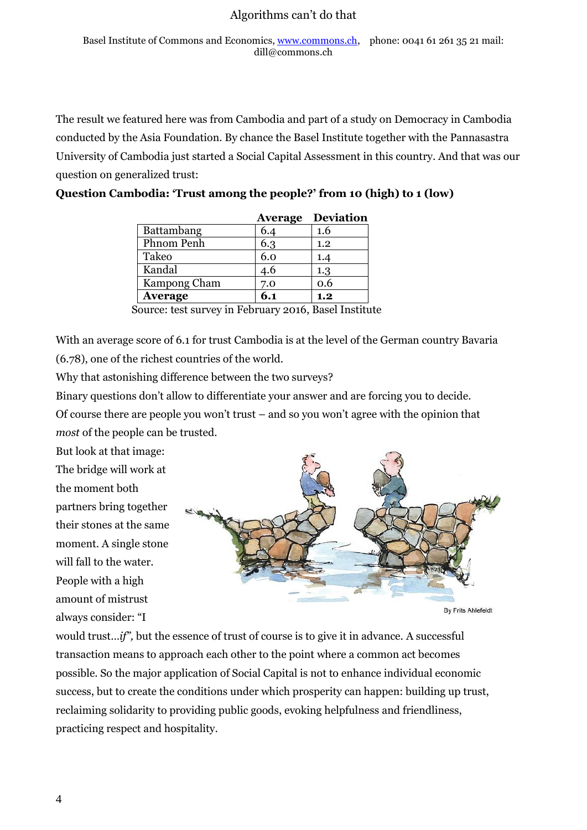The result we featured here was from Cambodia and part of a study on Democracy in Cambodia conducted by the Asia Foundation. By chance the Basel Institute together with the Pannasastra University of Cambodia just started a Social Capital Assessment in this country. And that was our question on generalized trust:

|                |     | <b>Average Deviation</b> |
|----------------|-----|--------------------------|
| Battambang     | 6.4 | 1.6                      |
| Phnom Penh     | 6.3 | 1.2                      |
| Takeo          | 6.0 |                          |
| Kandal         | 4.6 | 1.3                      |
| Kampong Cham   | 7.0 | 0.6                      |
| <b>Average</b> | 6.1 | 1.2                      |

**Question Cambodia: 'Trust among the people?' from 10 (high) to 1 (low)**

With an average score of 6.1 for trust Cambodia is at the level of the German country Bavaria (6.78), one of the richest countries of the world.

Why that astonishing difference between the two surveys?

Binary questions don't allow to differentiate your answer and are forcing you to decide.

Of course there are people you won't trust – and so you won't agree with the opinion that *most* of the people can be trusted.

But look at that image:

The bridge will work at the moment both partners bring together their stones at the same moment. A single stone will fall to the water. People with a high amount of mistrust always consider: "I



**By Frits Ahlefeldt** 

would trust...*if"*, but the essence of trust of course is to give it in advance. A successful transaction means to approach each other to the point where a common act becomes possible. So the major application of Social Capital is not to enhance individual economic success, but to create the conditions under which prosperity can happen: building up trust, reclaiming solidarity to providing public goods, evoking helpfulness and friendliness, practicing respect and hospitality.

Source: test survey in February 2016, Basel Institute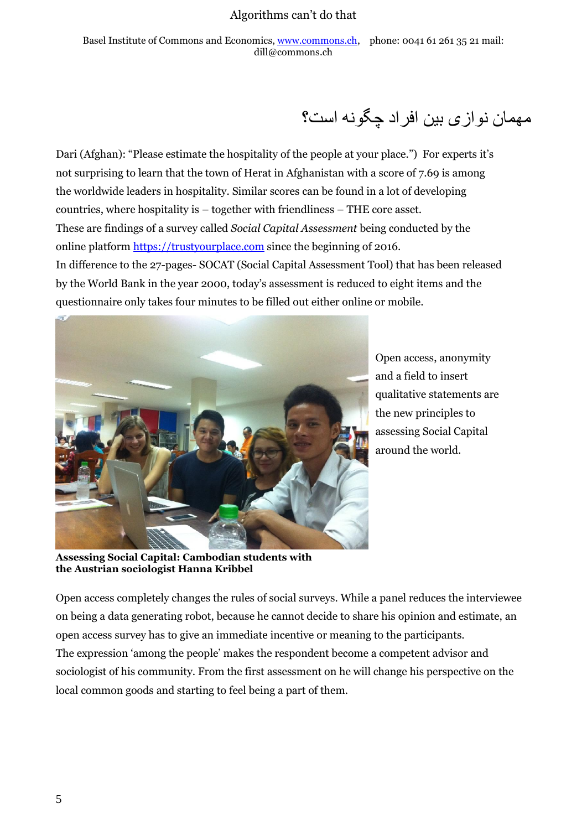Basel Institute of Commons and Economics[, www.commons.ch,](http://www.commons.ch/) phone: 0041 61 261 35 21 mail: dill@commons.ch

# مهمان نوازی بین افراد چگونه است؟

Dari (Afghan): "Please estimate the hospitality of the people at your place.") For experts it's not surprising to learn that the town of Herat in Afghanistan with a score of 7.69 is among the worldwide leaders in hospitality. Similar scores can be found in a lot of developing countries, where hospitality is – together with friendliness – THE core asset. These are findings of a survey called *Social Capital Assessment* being conducted by the online platform [https://trustyourplace.com](https://trustyourplace.com/) since the beginning of 2016. In difference to the 27-pages- SOCAT (Social Capital Assessment Tool) that has been released by the World Bank in the year 2000, today's assessment is reduced to eight items and the questionnaire only takes four minutes to be filled out either online or mobile.



Open access, anonymity and a field to insert qualitative statements are the new principles to assessing Social Capital around the world.

**Assessing Social Capital: Cambodian students with the Austrian sociologist Hanna Kribbel**

Open access completely changes the rules of social surveys. While a panel reduces the interviewee on being a data generating robot, because he cannot decide to share his opinion and estimate, an open access survey has to give an immediate incentive or meaning to the participants. The expression 'among the people' makes the respondent become a competent advisor and sociologist of his community. From the first assessment on he will change his perspective on the local common goods and starting to feel being a part of them.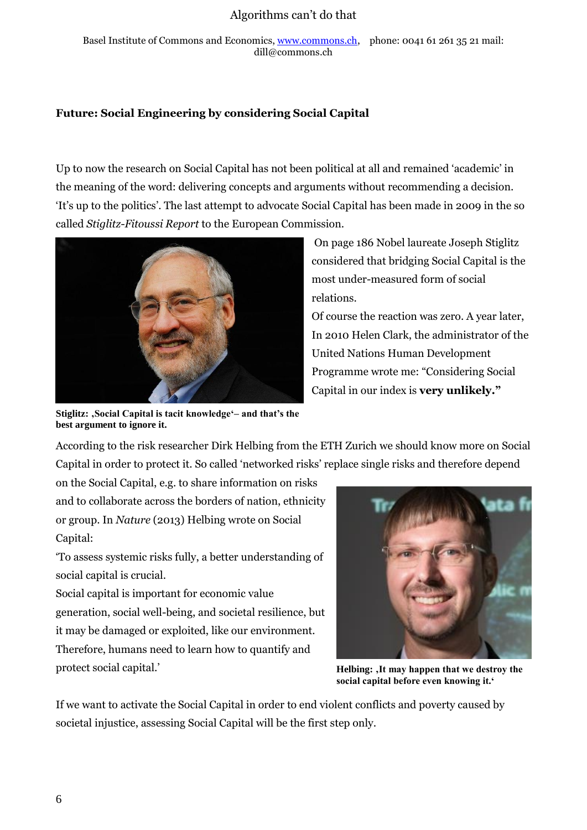Basel Institute of Commons and Economics[, www.commons.ch,](http://www.commons.ch/) phone: 0041 61 261 35 21 mail: dill@commons.ch

#### **Future: Social Engineering by considering Social Capital**

Up to now the research on Social Capital has not been political at all and remained 'academic' in the meaning of the word: delivering concepts and arguments without recommending a decision. 'It's up to the politics'. The last attempt to advocate Social Capital has been made in 2009 in the so called *Stiglitz-Fitoussi Report* to the European Commission.



On page 186 Nobel laureate Joseph Stiglitz considered that bridging Social Capital is the most under-measured form of social relations.

Of course the reaction was zero. A year later, In 2010 Helen Clark, the administrator of the United Nations Human Development Programme wrote me: "Considering Social Capital in our index is **very unlikely."**

Stiglitz: , Social Capital is tacit knowledge'- and that's the **best argument to ignore it.**

According to the risk researcher Dirk Helbing from the ETH Zurich we should know more on Social Capital in order to protect it. So called 'networked risks' replace single risks and therefore depend

on the Social Capital, e.g. to share information on risks and to collaborate across the borders of nation, ethnicity or group. In *Nature* (2013) Helbing wrote on Social Capital:

'To assess systemic risks fully, a better understanding of social capital is crucial.

Social capital is important for economic value generation, social well-being, and societal resilience, but it may be damaged or exploited, like our environment. Therefore, humans need to learn how to quantify and protect social capital.'



Helbing:  $It may happen that we destroy the$ **social capital before even knowing it.'**

If we want to activate the Social Capital in order to end violent conflicts and poverty caused by societal injustice, assessing Social Capital will be the first step only.